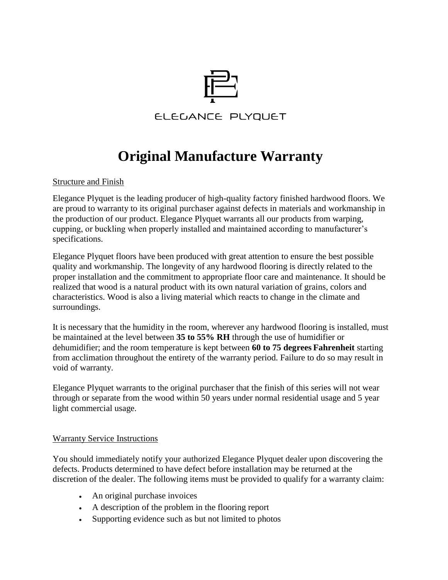

## **Original Manufacture Warranty**

Structure and Finish

Elegance Plyquet is the leading producer of high-quality factory finished hardwood floors. We are proud to warranty to its original purchaser against defects in materials and workmanship in the production of our product. Elegance Plyquet warrants all our products from warping, cupping, or buckling when properly installed and maintained according to manufacturer's specifications.

Elegance Plyquet floors have been produced with great attention to ensure the best possible quality and workmanship. The longevity of any hardwood flooring is directly related to the proper installation and the commitment to appropriate floor care and maintenance. It should be realized that wood is a natural product with its own natural variation of grains, colors and characteristics. Wood is also a living material which reacts to change in the climate and surroundings.

It is necessary that the humidity in the room, wherever any hardwood flooring is installed, must be maintained at the level between **35 to 55% RH** through the use of humidifier or dehumidifier; and the room temperature is kept between **60 to 75 degrees Fahrenheit** starting from acclimation throughout the entirety of the warranty period. Failure to do so may result in void of warranty.

Elegance Plyquet warrants to the original purchaser that the finish of this series will not wear through or separate from the wood within 50 years under normal residential usage and 5 year light commercial usage.

## Warranty Service Instructions

You should immediately notify your authorized Elegance Plyquet dealer upon discovering the defects. Products determined to have defect before installation may be returned at the discretion of the dealer. The following items must be provided to qualify for a warranty claim:

- An original purchase invoices
- A description of the problem in the flooring report
- Supporting evidence such as but not limited to photos